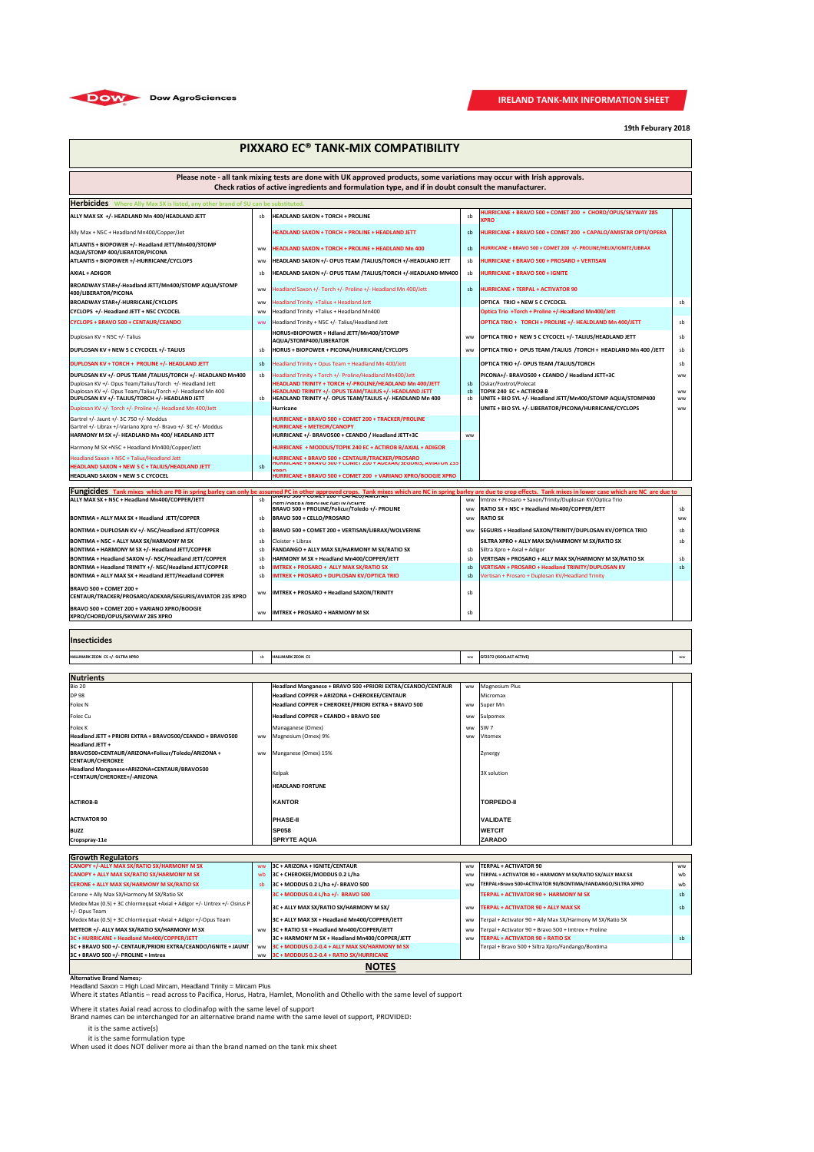| <b>Herbicides</b> Where Ally Max SX is listed, any other brand of SU can be substituted.                     |           |                                                                                                                      |           |                                                                                         |                 |  |
|--------------------------------------------------------------------------------------------------------------|-----------|----------------------------------------------------------------------------------------------------------------------|-----------|-----------------------------------------------------------------------------------------|-----------------|--|
| ALLY MAX SX +/- HEADLAND Mn 400/HEADLAND JETT                                                                | sb        | <b>HEADLAND SAXON + TORCH + PROLINE</b>                                                                              | sb        | HURRICANE + BRAVO 500 + COMET 200 + CHORD/OPUS/SKYWAY 285<br><b>XPRO</b>                |                 |  |
| Ally Max + N5C + Headland Mn400/Copper/Jet                                                                   |           | <b>HEADLAND SAXON + TORCH + PROLINE + HEADLAND JETT</b>                                                              | sb        | HURRICANE + BRAVO 500 + COMET 200 + CAPALO/AMISTAR OPTI/OPERA                           |                 |  |
| ATLANTIS + BIOPOWER +/- Headland JETT/Mn400/STOMP<br>AQUA/STOMP 400/LIERATOR/PICONA                          | <b>WW</b> | <b>HEADLAND SAXON + TORCH + PROLINE + HEADLAND Mn 400</b>                                                            | sb        | HURRICANE + BRAVO 500 + COMET 200 +/- PROLINE/HELIX/IGNITE/LIBRAX                       |                 |  |
| <b>ATLANTIS + BIOPOWER +/-HURRICANE/CYCLOPS</b>                                                              | ww        | HEADLAND SAXON +/- OPUS TEAM /TALIUS/TORCH +/-HEADLAND JETT                                                          | sb        | HURRICANE + BRAVO 500 + PROSARO + VERTISAN                                              |                 |  |
| <b>AXIAL + ADIGOR</b>                                                                                        | sb        | HEADLAND SAXON +/- OPUS TEAM /TALIUS/TORCH +/-HEADLAND MN400                                                         | sb        | <b>HURRICANE + BRAVO 500 + IGNITE</b>                                                   |                 |  |
| BROADWAY STAR+/-Headland JETT/Mn400/STOMP AQUA/STOMP<br>400/LIBERATOR/PICONA                                 | ww        | Headland Saxon +/- Torch +/- Proline +/- Headland Mn 400/Jett                                                        | sb        | <b>HURRICANE + TERPAL + ACTIVATOR 90</b>                                                |                 |  |
| <b>BROADWAY STAR+/-HURRICANE/CYCLOPS</b>                                                                     | <b>WW</b> | Headland Trinity +Talius + Headland Jett                                                                             |           | <b>OPTICA TRIO + NEW 5 C CYCOCEL</b>                                                    | sb              |  |
| CYCLOPS +/- Headland JETT + N5C CYCOCEL                                                                      | <b>WW</b> | Headland Trinity +Talius + Headland Mn400                                                                            |           | Optica Trio +Torch + Proline +/-Headland Mn400/Jett                                     |                 |  |
| <b>CYCLOPS + BRAVO 500 + CENTAUR/CEANDO</b>                                                                  | <b>WW</b> | Headland Trinity + N5C +/- Talius/Headland Jett                                                                      |           | OPTICA TRIO + TORCH + PROLINE +/- HEALDLAND Mn 400/JETT                                 | sb              |  |
| Duplosan KV + N5C +/- Talius                                                                                 |           | HORUS+BIOPOWER + Hdland JETT/Mn400/STOMP<br>AQUA/STOMP400/LIBERATOR                                                  | <b>WW</b> | OPTICA TRIO + NEW 5 C CYCOCEL +/- TALIUS/HEADLAND JETT                                  | sb              |  |
| DUPLOSAN KV + NEW 5 C CYCOCEL +/- TALIUS                                                                     | sb        | HORUS + BIOPOWER + PICONA/HURRICANE/CYCLOPS                                                                          | <b>WW</b> | OPTICA TRIO + OPUS TEAM / TALIUS / TORCH + HEADLAND Mn 400 / JETT                       | sb              |  |
| DUPLOSAN KV + TORCH + PROLINE +/- HEADLAND JETT                                                              | sb        | Headland Trinity + Opus Team + Headland Mn 400/Jett                                                                  |           | OPTICA TRIO +/- OPUS TEAM / TALIUS/TORCH                                                | sb              |  |
| DUPLOSAN KV +/- OPUS TEAM /TALIUS/TORCH +/- HEADLAND Mn400                                                   | sb        | Headland Trinity + Torch +/- Proline/Headland Mn400/Jett                                                             |           | PICONA+/- BRAVO500 + CEANDO / Headland JETT+3C                                          | <b>WW</b>       |  |
| Duplosan KV +/- Opus Team/Talius/Torch +/- Headland Jett                                                     |           | HEADLAND TRINITY + TORCH +/-PROLINE/HEADLAND Mn 400/JETT                                                             | sb        | Oskar/Foxtrot/Polecat                                                                   |                 |  |
| Duplosan KV +/- Opus Team/Talius/Torch +/- Headland Mn 400<br>DUPLOSAN KV +/- TALIUS/TORCH +/- HEADLAND JETT | sb        | HEADLAND TRINITY +/- OPUS TEAM/TALIUS +/- HEADLAND JETT<br>HEADLAND TRINITY +/- OPUS TEAM/TALIUS +/- HEADLAND Mn 400 | sb<br>sb  | TOPIK 240 EC + ACTIROB B<br>UNITE + BIO SYL +/- Headland JETT/Mn400/STOMP AQUA/STOMP400 | <b>WW</b><br>ww |  |
| Duplosan KV +/- Torch +/- Proline +/- Headland Mn 400/Jett                                                   |           | Hurricane                                                                                                            |           | UNITE + BIO SYL +/- LIBERATOR/PICONA/HURRICANE/CYCLOPS                                  | ww              |  |
| Gartrel +/- Jaunt +/- 3C 750 +/- Moddus                                                                      |           | HURRICANE + BRAVO 500 + COMET 200 + TRACKER/PROLINE                                                                  |           |                                                                                         |                 |  |
| Gartrel +/- Librax +/-Variano Xpro +/- Bravo +/- 3C +/- Moddus                                               |           | <b>HURRICANE + METEOR/CANOPY</b>                                                                                     |           |                                                                                         |                 |  |
| HARMONY M SX +/- HEADLAND Mn 400/ HEADLAND JETT                                                              |           | HURRICANE +/- BRAVO500 + CEANDO / Headland JETT+3C                                                                   | ww        |                                                                                         |                 |  |
| Harmony M SX +N5C + Headland Mn400/Copper/Jett                                                               |           | HURRICANE + MODDUS/TOPIK 240 EC + ACTIROB B/AXIAL + ADIGOR                                                           |           |                                                                                         |                 |  |
| Headland Saxon + N5C + Talius/Headland Jett                                                                  |           |                                                                                                                      |           |                                                                                         |                 |  |
| <b>HEADLAND SAXON + NEW 5 C + TALIUS/HEADLAND JETT</b>                                                       | sb        | MDDA                                                                                                                 |           |                                                                                         |                 |  |
| <b>HEADLAND SAXON + NEW 5 C CYCOCEL</b>                                                                      |           | HURRICANE + BRAVO 500 + COMET 200 + VARIANO XPRO/BOOGIE XPRO                                                         |           |                                                                                         |                 |  |

**Fungicides** Tank mixes which are PB in spring barley can only be assumed PC in other approved crops. Tank mixes which are NC in spring barley are due to crop effects. Tank mixes in lower case which are NC in Spring barley

| Trutigit loop and mixes which are PB in spring bariey can only be assumed PC in other approved crops. Tank mixes which are NC in spring bariey are due to crop effects. Tank mixes in lower case which are NC are due to to |           |                                                                                        |           |                                                          |           |  |
|-----------------------------------------------------------------------------------------------------------------------------------------------------------------------------------------------------------------------------|-----------|----------------------------------------------------------------------------------------|-----------|----------------------------------------------------------|-----------|--|
| ALLY MAX SX + N5C + Headland Mn400/COPPER/JETT                                                                                                                                                                              | sb        | <u> BRAVU 300 + CUMET ZUU + CAPALU/AMIISTAR</u><br>ODTI/ODED A /DDOI INE/UEI IV/ICNITE | <b>WW</b> | Imtrex + Prosaro + Saxon/Trinity/Duplosan KV/Optica Trio |           |  |
|                                                                                                                                                                                                                             |           | BRAVO 500 + PROLINE/Folicur/Toledo +/- PROLINE                                         | ww        | RATIO SX + N5C + Headland Mn400/COPPER/JETT              | sb        |  |
| BONTIMA + ALLY MAX SX + Headland JETT/COPPER                                                                                                                                                                                | sb        | <b>BRAVO 500 + CELLO/PROSARO</b>                                                       | <b>WW</b> | <b>RATIO SX</b>                                          | <b>WW</b> |  |
| BONTIMA + DUPLOSAN KV +/- N5C/Headland JETT/COPPER                                                                                                                                                                          | sb        | BRAVO 500 + COMET 200 + VERTISAN/LIBRAX/WOLVERINE                                      | <b>WW</b> | SEGURIS + Headland SAXON/TRINITY/DUPLOSAN KV/OPTICA TRIO | sb        |  |
| BONTIMA + N5C + ALLY MAX SX/HARMONY M SX                                                                                                                                                                                    | sb        | Cloister + Librax                                                                      |           | SILTRA XPRO + ALLY MAX SX/HARMONY M SX/RATIO SX          | sb        |  |
| BONTIMA + HARMONY M SX +/- Headland JETT/COPPER                                                                                                                                                                             | sb        | <b>FANDANGO + ALLY MAX SX/HARMONY M SX/RATIO SX</b>                                    | sb        | Siltra Xpro + Axial + Adigor                             |           |  |
| BONTIMA + Headland SAXON +/- N5C/Headland JETT/COPPER                                                                                                                                                                       | sb        | HARMONY M SX + Headland Mn400/COPPER/JETT                                              | sb        | VERTISAN + PROSARO + ALLY MAX SX/HARMONY M SX/RATIO SX   | sb        |  |
| BONTIMA + Headland TRINITY +/- N5C/Headland JETT/COPPER                                                                                                                                                                     | sb        | <b>IMTREX + PROSARO + ALLY MAX SX/RATIO SX</b>                                         | sb        | VERTISAN + PROSARO + Headland TRINITY/DUPLOSAN KV        | -sb       |  |
| BONTIMA + ALLY MAX SX + Headland JETT/Headland COPPER                                                                                                                                                                       | sb        | <b>IMTREX + PROSARO + DUPLOSAN KV/OPTICA TRIO</b>                                      | sb        | Vertisan + Prosaro + Duplosan KV/Headland Trinity        |           |  |
| <b>IBRAVO 500 + COMET 200 +</b><br>CENTAUR/TRACKER/PROSARO/ADEXAR/SEGURIS/AVIATOR 235 XPRO                                                                                                                                  | <b>WW</b> | <b>IMTREX + PROSARO + Headland SAXON/TRINITY</b>                                       | sb        |                                                          |           |  |
| BRAVO 500 + COMET 200 + VARIANO XPRO/BOOGIE<br><b>XPRO/CHORD/OPUS/SKYWAY 285 XPRO</b>                                                                                                                                       | <b>WW</b> | IIMTREX + PROSARO + HARMONY M SX                                                       | sb        |                                                          |           |  |

#### **Insecticides**

| HALLMARK ZEON CS +/- SILTRA XPRO | <b>ALLMARK ZEON CS</b> | <b>WW</b> | <b>GF2372 (ISOCLAST ACTIVE)</b> | <b>MAGAZ</b><br><b>VV VV</b> |
|----------------------------------|------------------------|-----------|---------------------------------|------------------------------|

| Nutrients                                                                  |           |                                                             |           |                   |  |  |
|----------------------------------------------------------------------------|-----------|-------------------------------------------------------------|-----------|-------------------|--|--|
| Bio 20                                                                     |           | Headland Manganese + BRAVO 500 +PRIORI EXTRA/CEANDO/CENTAUR |           | ww Magnesium Plus |  |  |
| <b>DP 98</b>                                                               |           | Headland COPPER + ARIZONA + CHEROKEE/CENTAUR                |           | Micromax          |  |  |
| <b>Folex N</b>                                                             |           | Headland COPPER + CHEROKEE/PRIORI EXTRA + BRAVO 500         | ww        | Super Mn          |  |  |
| Folec Cu                                                                   |           | Headland COPPER + CEANDO + BRAVO 500                        |           | ww Sulpomex       |  |  |
| Folex K                                                                    |           | Managanese (Omex)                                           |           | ww SW7            |  |  |
| Headland JETT + PRIORI EXTRA + BRAVO500/CEANDO + BRAVO500                  |           | ww Magnesium (Omex) 9%                                      | <b>WW</b> | Vitomex           |  |  |
| <b>Headland JETT +</b>                                                     |           |                                                             |           |                   |  |  |
| BRAVO500+CENTAUR/ARIZONA+Folicur/Toledo/ARIZONA +                          | <b>WW</b> | Manganese (Omex) 15%                                        |           | Zynergy           |  |  |
| <b>CENTAUR/CHEROKEE</b>                                                    |           |                                                             |           |                   |  |  |
| Headland Manganese+ARIZONA+CENTAUR/BRAVO500<br>+CENTAUR/CHEROKEE+/-ARIZONA |           | Kelpak                                                      |           | 3X solution       |  |  |
|                                                                            |           | <b>HEADLAND FORTUNE</b>                                     |           |                   |  |  |
| <b>ACTIROB-B</b>                                                           |           | <b>KANTOR</b>                                               |           | <b>TORPEDO-II</b> |  |  |
| <b>ACTIVATOR 90</b>                                                        |           | <b>PHASE-II</b>                                             |           | <b>VALIDATE</b>   |  |  |
| <b>BUZZ</b>                                                                |           | <b>SP058</b>                                                |           | <b>WETCIT</b>     |  |  |
| Cropspray-11e                                                              |           | <b>SPRYTE AQUA</b>                                          |           | <b>ZARADO</b>     |  |  |

| <b>Growth Regulators</b>                                                                    |           |                                                |           |                                                            |           |  |
|---------------------------------------------------------------------------------------------|-----------|------------------------------------------------|-----------|------------------------------------------------------------|-----------|--|
| CANOPY +/-ALLY MAX SX/RATIO SX/HARMONY M SX                                                 | <b>WW</b> | $ 3C + ARIZONA + IGNITE/CENTAUR$               | <b>WW</b> | <b>TERPAL + ACTIVATOR 90</b>                               | <b>WW</b> |  |
| CANOPY + ALLY MAX SX/RATIO SX/HARMONY M SX                                                  | wb        | 3C + CHEROKEE/MODDUS 0.2 L/ha                  | ww        | TERPAL + ACTIVATOR 90 + HARMONY M SX/RATIO SX/ALLY MAX SX  | wb        |  |
| <b>CERONE + ALLY MAX SX/HARMONY M SX/RATIO SX</b>                                           | sb        | 3C + MODDUS 0.2 L/ha +/- BRAVO 500             | <b>WW</b> | TERPAL+Bravo 500+ACTIVATOR 90/BONTIMA/FANDANGO/SILTRA XPRO | wb        |  |
| Cerone + Ally Max SX/Harmony M SX/Ratio SX                                                  |           | 3C + MODDUS 0.4 L/ha +/- BRAVO 500             |           | TERPAL + ACTIVATOR 90 + HARMONY M SX                       | sb        |  |
| Medex Max (0.5) + 3C chlormequat +Axial + Adigor +/- Untrex +/- Osirus P<br>$+/-$ Opus Team |           | $ 3C + ALLY MAX SX/RATION S X/HARMONY M SX/$   | <b>WW</b> | <b>TERPAL + ACTIVATOR 90 + ALLY MAX SX</b>                 | sb        |  |
| Medex Max (0.5) + 3C chlormequat +Axial + Adigor +/-Opus Team                               |           | 3C + ALLY MAX SX + Headland Mn400/COPPER/JETT  | <b>WW</b> | Terpal + Activator 90 + Ally Max SX/Harmony M SX/Ratio SX  |           |  |
| METEOR +/- ALLY MAX SX/RATIO SX/HARMONY M SX                                                | <b>WW</b> | 3C + RATIO SX + Headland Mn400/COPPER/JETT     | <b>WW</b> | Terpal + Activator 90 + Bravo 500 + Imtrex + Proline       |           |  |
| 3C + HURRICANE + Headland Mn400/COPPER/JETT                                                 |           | 3C + HARMONY M SX + Headland Mn400/COPPER/JETT | <b>WW</b> | <b>TERPAL + ACTIVATOR 90 + RATIO SX</b>                    | -sb       |  |
| 3C + BRAVO 500 +/- CENTAUR/PRIORI EXTRA/CEANDO/IGNITE + JAUNT                               | <b>WW</b> | 3C + MODDUS 0.2-0.4 + ALLY MAX SX/HARMONY M SX |           | Terpal + Bravo 500 + Siltra Xpro/Fandango/Bontima          |           |  |
| $ 3C + BRAVO 500 +/- PROLINE + Imtrex$                                                      | ww        | 3C + MODDUS 0.2-0.4 + RATIO SX/HURRICANE       |           |                                                            |           |  |
| <b>NOTES</b>                                                                                |           |                                                |           |                                                            |           |  |

**Alternative Brand Names;-**

Headland Saxon = High Load Mircam, Headland Trinity = Mircam Plus Where it states Atlantis – read across to Pacifica, Horus, Hatra, Hamlet, Monolith and Othello with the same level of support

Where it states Axial read across to clodinafop with the same level of support Brand names can be interchanged for an alternative brand name with the same level of support, PROVIDED:

it is the same active(s)

it is the same formulation type When used it does NOT deliver more ai than the brand named on the tank mix sheet **19th Feburary 2018**

# **PIXXARO EC® TANK-MIX COMPATIBILITY**

## **Please note - all tank mixing tests are done with UK approved products, some variations may occur with Irish approvals. Check ratios of active ingredients and formulation type, and if in doubt consult the manufacturer.**



## **IRELAND TANK-MIX INFORMATION SHEET**